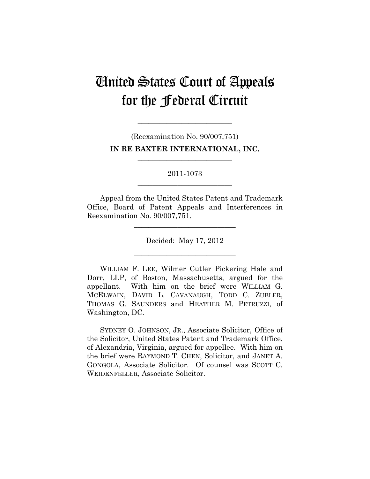# United States Court of Appeals for the Federal Circuit

(Reexamination No. 90/007,751) **IN RE BAXTER INTERNATIONAL, INC.** 

**\_\_\_\_\_\_\_\_\_\_\_\_\_\_\_\_\_\_\_\_\_\_\_\_\_\_** 

**\_\_\_\_\_\_\_\_\_\_\_\_\_\_\_\_\_\_\_\_\_\_\_\_\_\_** 

2011-1073 **\_\_\_\_\_\_\_\_\_\_\_\_\_\_\_\_\_\_\_\_\_\_\_\_\_\_** 

Appeal from the United States Patent and Trademark Office, Board of Patent Appeals and Interferences in Reexamination No. 90/007,751.

**\_\_\_\_\_\_\_\_\_\_\_\_\_\_\_\_\_\_\_\_\_\_\_\_\_\_\_\_** 

Decided: May 17, 2012

**\_\_\_\_\_\_\_\_\_\_\_\_\_\_\_\_\_\_\_\_\_\_\_\_\_\_\_\_** 

WILLIAM F. LEE, Wilmer Cutler Pickering Hale and Dorr, LLP, of Boston, Massachusetts, argued for the appellant. With him on the brief were WILLIAM G. MCELWAIN, DAVID L. CAVANAUGH, TODD C. ZUBLER, THOMAS G. SAUNDERS and HEATHER M. PETRUZZI, of Washington, DC.

SYDNEY O. JOHNSON, JR., Associate Solicitor, Office of the Solicitor, United States Patent and Trademark Office, of Alexandria, Virginia, argued for appellee. With him on the brief were RAYMOND T. CHEN, Solicitor, and JANET A. GONGOLA, Associate Solicitor. Of counsel was SCOTT C. WEIDENFELLER, Associate Solicitor.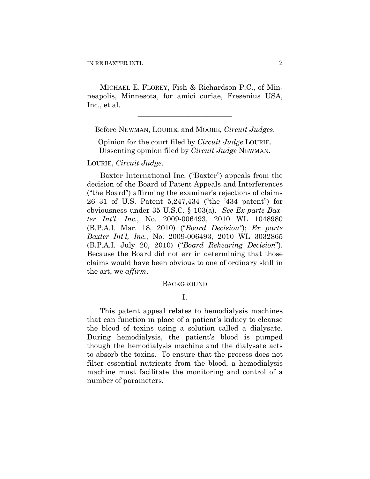MICHAEL E. FLOREY, Fish & Richardson P.C., of Minneapolis, Minnesota, for amici curiae, Fresenius USA, Inc., et al.

Before NEWMAN, LOURIE, and MOORE, *Circuit Judges*.

**\_\_\_\_\_\_\_\_\_\_\_\_\_\_\_\_\_\_\_\_\_\_\_\_\_\_** 

Opinion for the court filed by *Circuit Judge* LOURIE. Dissenting opinion filed by *Circuit Judge* NEWMAN.

### LOURIE, *Circuit Judge*.

Baxter International Inc. ("Baxter") appeals from the decision of the Board of Patent Appeals and Interferences ("the Board") affirming the examiner's rejections of claims 26–31 of U.S. Patent 5,247,434 ("the '434 patent") for obviousness under 35 U.S.C. § 103(a). *See Ex parte Baxter Int'l, Inc.*, No. 2009-006493, 2010 WL 1048980 (B.P.A.I. Mar. 18, 2010) ("*Board Decision"*); *Ex parte Baxter Int'l, Inc.*, No. 2009-006493, 2010 WL 3032865 (B.P.A.I. July 20, 2010) ("*Board Rehearing Decision*"). Because the Board did not err in determining that those claims would have been obvious to one of ordinary skill in the art, we *affirm*.

#### BACKGROUND

I.

This patent appeal relates to hemodialysis machines that can function in place of a patient's kidney to cleanse the blood of toxins using a solution called a dialysate. During hemodialysis, the patient's blood is pumped though the hemodialysis machine and the dialysate acts to absorb the toxins. To ensure that the process does not filter essential nutrients from the blood, a hemodialysis machine must facilitate the monitoring and control of a number of parameters.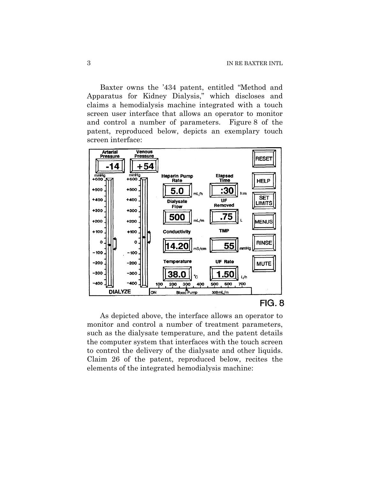Baxter owns the '434 patent, entitled "Method and Apparatus for Kidney Dialysis," which discloses and claims a hemodialysis machine integrated with a touch screen user interface that allows an operator to monitor and control a number of parameters. Figure 8 of the patent, reproduced below, depicts an exemplary touch screen interface:



As depicted above, the interface allows an operator to monitor and control a number of treatment parameters, such as the dialysate temperature, and the patent details the computer system that interfaces with the touch screen to control the delivery of the dialysate and other liquids. Claim 26 of the patent, reproduced below, recites the elements of the integrated hemodialysis machine: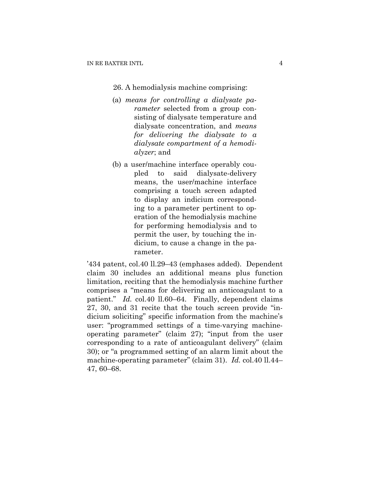### 26. A hemodialysis machine comprising:

- (a) *means for controlling a dialysate parameter* selected from a group consisting of dialysate temperature and dialysate concentration, and *means for delivering the dialysate to a dialysate compartment of a hemodialyzer*; and
- (b) a user/machine interface operably coupled to said dialysate-delivery means, the user/machine interface comprising a touch screen adapted to display an indicium corresponding to a parameter pertinent to operation of the hemodialysis machine for performing hemodialysis and to permit the user, by touching the indicium, to cause a change in the parameter.

'434 patent, col.40 ll.29–43 (emphases added). Dependent claim 30 includes an additional means plus function limitation, reciting that the hemodialysis machine further comprises a "means for delivering an anticoagulant to a patient." *Id.* col.40 ll.60–64. Finally, dependent claims 27, 30, and 31 recite that the touch screen provide "indicium soliciting" specific information from the machine's user: "programmed settings of a time-varying machineoperating parameter" (claim 27); "input from the user corresponding to a rate of anticoagulant delivery" (claim 30); or "a programmed setting of an alarm limit about the machine-operating parameter" (claim 31). *Id.* col.40 ll.44– 47, 60–68.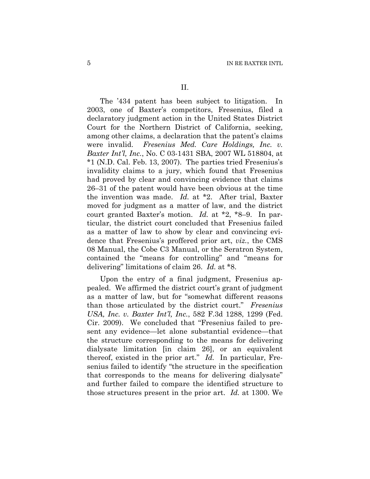The '434 patent has been subject to litigation. In 2003, one of Baxter's competitors, Fresenius, filed a declaratory judgment action in the United States District Court for the Northern District of California, seeking, among other claims, a declaration that the patent's claims were invalid. *Fresenius Med. Care Holdings, Inc. v. Baxter Int'l, Inc.*, No. C 03-1431 SBA, 2007 WL 518804, at \*1 (N.D. Cal. Feb. 13, 2007). The parties tried Fresenius's invalidity claims to a jury, which found that Fresenius had proved by clear and convincing evidence that claims 26–31 of the patent would have been obvious at the time the invention was made. *Id.* at \*2. After trial, Baxter moved for judgment as a matter of law, and the district court granted Baxter's motion. *Id.* at \*2, \*8–9. In particular, the district court concluded that Fresenius failed as a matter of law to show by clear and convincing evidence that Fresenius's proffered prior art, *viz.*, the CMS 08 Manual, the Cobe C3 Manual, or the Seratron System, contained the "means for controlling" and "means for delivering" limitations of claim 26. *Id.* at \*8.

Upon the entry of a final judgment, Fresenius appealed. We affirmed the district court's grant of judgment as a matter of law, but for "somewhat different reasons than those articulated by the district court." *Fresenius USA, Inc. v. Baxter Int'l, Inc.*, 582 F.3d 1288, 1299 (Fed. Cir. 2009). We concluded that "Fresenius failed to present any evidence—let alone substantial evidence—that the structure corresponding to the means for delivering dialysate limitation [in claim 26], or an equivalent thereof, existed in the prior art." *Id.* In particular, Fresenius failed to identify "the structure in the specification that corresponds to the means for delivering dialysate" and further failed to compare the identified structure to those structures present in the prior art. *Id.* at 1300. We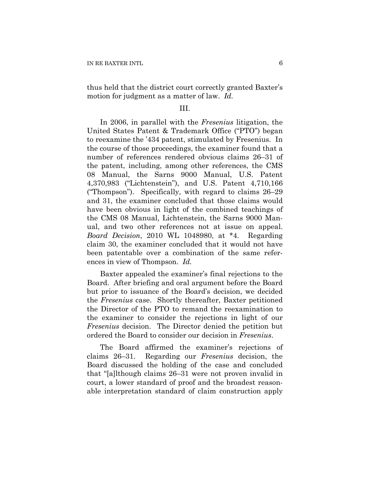thus held that the district court correctly granted Baxter's motion for judgment as a matter of law. *Id.*

### III.

In 2006, in parallel with the *Fresenius* litigation, the United States Patent & Trademark Office ("PTO") began to reexamine the '434 patent, stimulated by Fresenius. In the course of those proceedings, the examiner found that a number of references rendered obvious claims 26–31 of the patent, including, among other references, the CMS 08 Manual, the Sarns 9000 Manual, U.S. Patent 4,370,983 ("Lichtenstein"), and U.S. Patent 4,710,166 ("Thompson"). Specifically, with regard to claims 26–29 and 31, the examiner concluded that those claims would have been obvious in light of the combined teachings of the CMS 08 Manual, Lichtenstein, the Sarns 9000 Manual, and two other references not at issue on appeal. *Board Decision*, 2010 WL 1048980, at \*4. Regarding claim 30, the examiner concluded that it would not have been patentable over a combination of the same references in view of Thompson. *Id.*

Baxter appealed the examiner's final rejections to the Board. After briefing and oral argument before the Board but prior to issuance of the Board's decision, we decided the *Fresenius* case. Shortly thereafter, Baxter petitioned the Director of the PTO to remand the reexamination to the examiner to consider the rejections in light of our *Fresenius* decision. The Director denied the petition but ordered the Board to consider our decision in *Fresenius*.

The Board affirmed the examiner's rejections of claims 26–31. Regarding our *Fresenius* decision, the Board discussed the holding of the case and concluded that "[a]lthough claims 26–31 were not proven invalid in court, a lower standard of proof and the broadest reasonable interpretation standard of claim construction apply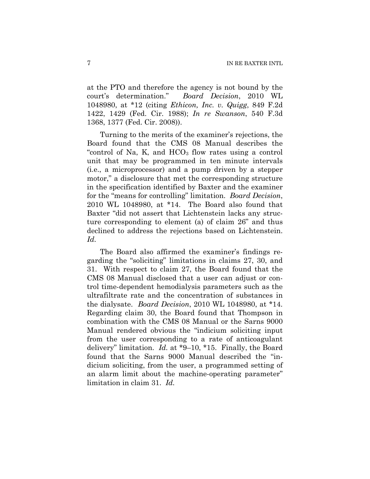at the PTO and therefore the agency is not bound by the court's determination." *Board Decision*, 2010 WL 1048980, at \*12 (citing *Ethicon, Inc. v. Quigg*, 849 F.2d 1422, 1429 (Fed. Cir. 1988); *In re Swanson*, 540 F.3d 1368, 1377 (Fed. Cir. 2008)).

Turning to the merits of the examiner's rejections, the Board found that the CMS 08 Manual describes the "control of Na, K, and  $HCO<sub>3</sub>$  flow rates using a control unit that may be programmed in ten minute intervals (i.e., a microprocessor) and a pump driven by a stepper motor," a disclosure that met the corresponding structure in the specification identified by Baxter and the examiner for the "means for controlling" limitation. *Board Decision*, 2010 WL 1048980, at \*14. The Board also found that Baxter "did not assert that Lichtenstein lacks any structure corresponding to element (a) of claim 26" and thus declined to address the rejections based on Lichtenstein. *Id.*

The Board also affirmed the examiner's findings regarding the "soliciting" limitations in claims 27, 30, and 31. With respect to claim 27, the Board found that the CMS 08 Manual disclosed that a user can adjust or control time-dependent hemodialysis parameters such as the ultrafiltrate rate and the concentration of substances in the dialysate. *Board Decision*, 2010 WL 1048980, at \*14. Regarding claim 30, the Board found that Thompson in combination with the CMS 08 Manual or the Sarns 9000 Manual rendered obvious the "indicium soliciting input from the user corresponding to a rate of anticoagulant delivery" limitation. *Id.* at \*9–10, \*15. Finally, the Board found that the Sarns 9000 Manual described the "indicium soliciting, from the user, a programmed setting of an alarm limit about the machine-operating parameter" limitation in claim 31. *Id.*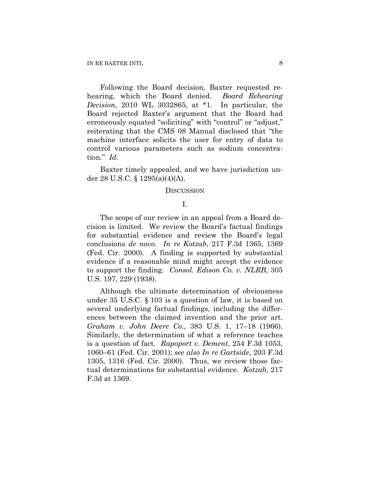Following the Board decision, Baxter requested rehearing, which the Board denied. *Board Rehearing Decision*, 2010 WL 3032865, at \*1. In particular, the Board rejected Baxter's argument that the Board had erroneously equated "soliciting" with "control" or "adjust," reiterating that the CMS 08 Manual disclosed that "the machine interface solicits the user for entry of data to control various parameters such as sodium concentration." *Id.* 

Baxter timely appealed, and we have jurisdiction under 28 U.S.C. § 1295(a)(4)(A).

#### **DISCUSSION**

# I.

The scope of our review in an appeal from a Board decision is limited. We review the Board's factual findings for substantial evidence and review the Board's legal conclusions *de novo*. *In re Kotzab*, 217 F.3d 1365, 1369 (Fed. Cir. 2000). A finding is supported by substantial evidence if a reasonable mind might accept the evidence to support the finding. *Consol. Edison Co. v. NLRB*, 305 U.S. 197, 229 (1938).

Although the ultimate determination of obviousness under 35 U.S.C. § 103 is a question of law, it is based on several underlying factual findings, including the differences between the claimed invention and the prior art. *Graham v. John Deere Co.*, 383 U.S. 1, 17–18 (1966). Similarly, the determination of what a reference teaches is a question of fact. *Rapoport v. Dement*, 254 F.3d 1053, 1060–61 (Fed. Cir. 2001); *see also In re Gartside*, 203 F.3d 1305, 1316 (Fed. Cir. 2000). Thus, we review those factual determinations for substantial evidence. *Kotzab*, 217 F.3d at 1369.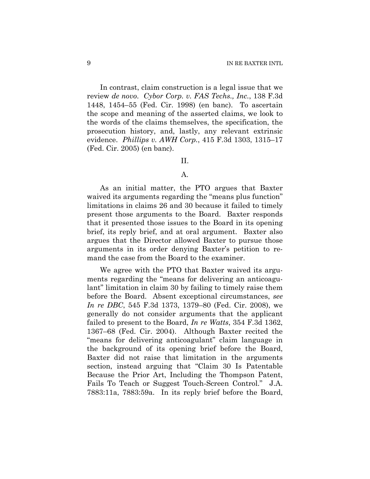In contrast, claim construction is a legal issue that we review *de novo*. *Cybor Corp. v. FAS Techs., Inc.*, 138 F.3d 1448, 1454–55 (Fed. Cir. 1998) (en banc). To ascertain the scope and meaning of the asserted claims, we look to the words of the claims themselves, the specification, the prosecution history, and, lastly, any relevant extrinsic evidence. *Phillips v. AWH Corp.*, 415 F.3d 1303, 1315–17 (Fed. Cir. 2005) (en banc).

#### II.

## A.

As an initial matter, the PTO argues that Baxter waived its arguments regarding the "means plus function" limitations in claims 26 and 30 because it failed to timely present those arguments to the Board. Baxter responds that it presented those issues to the Board in its opening brief, its reply brief, and at oral argument. Baxter also argues that the Director allowed Baxter to pursue those arguments in its order denying Baxter's petition to remand the case from the Board to the examiner.

We agree with the PTO that Baxter waived its arguments regarding the "means for delivering an anticoagulant" limitation in claim 30 by failing to timely raise them before the Board. Absent exceptional circumstances, *see In re DBC*, 545 F.3d 1373, 1379–80 (Fed. Cir. 2008), we generally do not consider arguments that the applicant failed to present to the Board, *In re Watts*, 354 F.3d 1362, 1367–68 (Fed. Cir. 2004). Although Baxter recited the "means for delivering anticoagulant" claim language in the background of its opening brief before the Board, Baxter did not raise that limitation in the arguments section, instead arguing that "Claim 30 Is Patentable Because the Prior Art, Including the Thompson Patent, Fails To Teach or Suggest Touch-Screen Control." J.A. 7883:11a, 7883:59a. In its reply brief before the Board,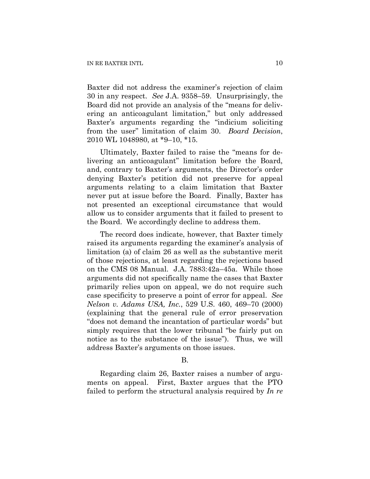Baxter did not address the examiner's rejection of claim 30 in any respect. *See* J.A. 9358–59. Unsurprisingly, the Board did not provide an analysis of the "means for delivering an anticoagulant limitation," but only addressed Baxter's arguments regarding the "indicium soliciting from the user" limitation of claim 30. *Board Decision*, 2010 WL 1048980, at \*9–10, \*15.

Ultimately, Baxter failed to raise the "means for delivering an anticoagulant" limitation before the Board, and, contrary to Baxter's arguments, the Director's order denying Baxter's petition did not preserve for appeal arguments relating to a claim limitation that Baxter never put at issue before the Board. Finally, Baxter has not presented an exceptional circumstance that would allow us to consider arguments that it failed to present to the Board. We accordingly decline to address them.

The record does indicate, however, that Baxter timely raised its arguments regarding the examiner's analysis of limitation (a) of claim 26 as well as the substantive merit of those rejections, at least regarding the rejections based on the CMS 08 Manual. J.A. 7883:42a–45a. While those arguments did not specifically name the cases that Baxter primarily relies upon on appeal, we do not require such case specificity to preserve a point of error for appeal. *See Nelson v. Adams USA, Inc.*, 529 U.S. 460, 469–70 (2000) (explaining that the general rule of error preservation "does not demand the incantation of particular words" but simply requires that the lower tribunal "be fairly put on notice as to the substance of the issue"). Thus, we will address Baxter's arguments on those issues.

#### B.

Regarding claim 26, Baxter raises a number of arguments on appeal. First, Baxter argues that the PTO failed to perform the structural analysis required by *In re*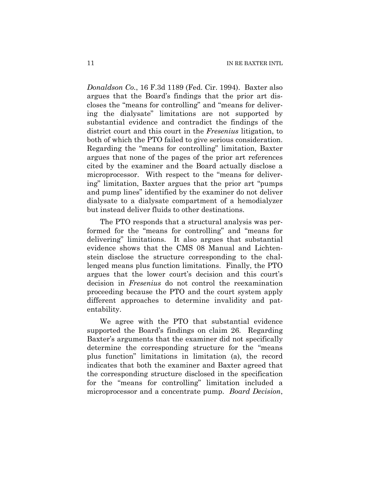*Donaldson Co.*, 16 F.3d 1189 (Fed. Cir. 1994). Baxter also argues that the Board's findings that the prior art discloses the "means for controlling" and "means for delivering the dialysate" limitations are not supported by substantial evidence and contradict the findings of the district court and this court in the *Fresenius* litigation, to both of which the PTO failed to give serious consideration. Regarding the "means for controlling" limitation, Baxter argues that none of the pages of the prior art references cited by the examiner and the Board actually disclose a microprocessor. With respect to the "means for delivering" limitation, Baxter argues that the prior art "pumps and pump lines" identified by the examiner do not deliver dialysate to a dialysate compartment of a hemodialyzer but instead deliver fluids to other destinations.

The PTO responds that a structural analysis was performed for the "means for controlling" and "means for delivering" limitations. It also argues that substantial evidence shows that the CMS 08 Manual and Lichtenstein disclose the structure corresponding to the challenged means plus function limitations. Finally, the PTO argues that the lower court's decision and this court's decision in *Fresenius* do not control the reexamination proceeding because the PTO and the court system apply different approaches to determine invalidity and patentability.

We agree with the PTO that substantial evidence supported the Board's findings on claim 26. Regarding Baxter's arguments that the examiner did not specifically determine the corresponding structure for the "means plus function" limitations in limitation (a), the record indicates that both the examiner and Baxter agreed that the corresponding structure disclosed in the specification for the "means for controlling" limitation included a microprocessor and a concentrate pump. *Board Decision*,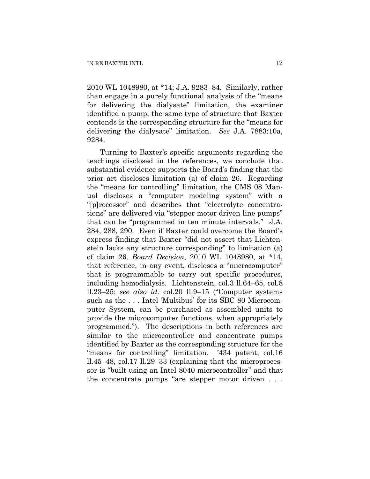2010 WL 1048980, at \*14; J.A. 9283–84. Similarly, rather than engage in a purely functional analysis of the "means for delivering the dialysate" limitation, the examiner identified a pump, the same type of structure that Baxter contends is the corresponding structure for the "means for delivering the dialysate" limitation. *See* J.A. 7883:10a, 9284.

Turning to Baxter's specific arguments regarding the teachings disclosed in the references, we conclude that substantial evidence supports the Board's finding that the prior art discloses limitation (a) of claim 26. Regarding the "means for controlling" limitation, the CMS 08 Manual discloses a "computer modeling system" with a "[p]rocessor" and describes that "electrolyte concentrations" are delivered via "stepper motor driven line pumps" that can be "programmed in ten minute intervals." J.A. 284, 288, 290. Even if Baxter could overcome the Board's express finding that Baxter "did not assert that Lichtenstein lacks any structure corresponding" to limitation (a) of claim 26, *Board Decision*, 2010 WL 1048980, at \*14, that reference, in any event, discloses a "microcomputer" that is programmable to carry out specific procedures, including hemodialysis. Lichtenstein, col.3 ll.64–65, col.8 ll.23–25; *see also id.* col.20 ll.9–15 ("Computer systems such as the . . . Intel 'Multibus' for its SBC 80 Microcomputer System, can be purchased as assembled units to provide the microcomputer functions, when appropriately programmed."). The descriptions in both references are similar to the microcontroller and concentrate pumps identified by Baxter as the corresponding structure for the "means for controlling" limitation. '434 patent, col.16 ll.45–48, col.17 ll.29–33 (explaining that the microprocessor is "built using an Intel 8040 microcontroller" and that the concentrate pumps "are stepper motor driven . . .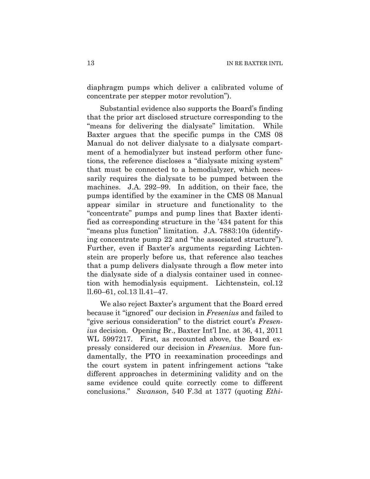diaphragm pumps which deliver a calibrated volume of concentrate per stepper motor revolution").

Substantial evidence also supports the Board's finding that the prior art disclosed structure corresponding to the "means for delivering the dialysate" limitation. While Baxter argues that the specific pumps in the CMS 08 Manual do not deliver dialysate to a dialysate compartment of a hemodialyzer but instead perform other functions, the reference discloses a "dialysate mixing system" that must be connected to a hemodialyzer, which necessarily requires the dialysate to be pumped between the machines. J.A. 292–99. In addition, on their face, the pumps identified by the examiner in the CMS 08 Manual appear similar in structure and functionality to the "concentrate" pumps and pump lines that Baxter identified as corresponding structure in the '434 patent for this "means plus function" limitation. J.A. 7883:10a (identifying concentrate pump 22 and "the associated structure"). Further, even if Baxter's arguments regarding Lichtenstein are properly before us, that reference also teaches that a pump delivers dialysate through a flow meter into the dialysate side of a dialysis container used in connection with hemodialysis equipment. Lichtenstein, col.12 ll.60–61, col.13 ll.41–47.

We also reject Baxter's argument that the Board erred because it "ignored" our decision in *Fresenius* and failed to "give serious consideration" to the district court's *Fresenius* decision. Opening Br., Baxter Int'l Inc. at 36, 41, 2011 WL 5997217. First, as recounted above, the Board expressly considered our decision in *Fresenius*. More fundamentally, the PTO in reexamination proceedings and the court system in patent infringement actions "take different approaches in determining validity and on the same evidence could quite correctly come to different conclusions." *Swanson*, 540 F.3d at 1377 (quoting *Ethi-*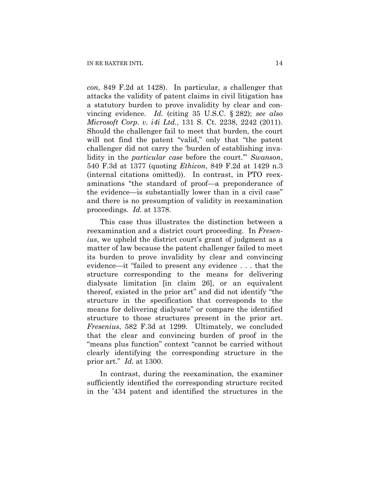*con*, 849 F.2d at 1428). In particular, a challenger that attacks the validity of patent claims in civil litigation has a statutory burden to prove invalidity by clear and convincing evidence. *Id.* (citing 35 U.S.C. § 282); *see also Microsoft Corp. v. i4i Ltd.*, 131 S. Ct. 2238, 2242 (2011). Should the challenger fail to meet that burden, the court will not find the patent "valid," only that "the patent challenger did not carry the 'burden of establishing invalidity in the *particular case* before the court.'" *Swanson*, 540 F.3d at 1377 (quoting *Ethicon*, 849 F.2d at 1429 n.3 (internal citations omitted)). In contrast, in PTO reexaminations "the standard of proof—a preponderance of the evidence—is substantially lower than in a civil case" and there is no presumption of validity in reexamination proceedings. *Id.* at 1378.

This case thus illustrates the distinction between a reexamination and a district court proceeding. In *Fresenius*, we upheld the district court's grant of judgment as a matter of law because the patent challenger failed to meet its burden to prove invalidity by clear and convincing evidence—it "failed to present any evidence . . . that the structure corresponding to the means for delivering dialysate limitation [in claim 26], or an equivalent thereof, existed in the prior art" and did not identify "the structure in the specification that corresponds to the means for delivering dialysate" or compare the identified structure to those structures present in the prior art. *Fresenius*, 582 F.3d at 1299. Ultimately, we concluded that the clear and convincing burden of proof in the "means plus function" context "cannot be carried without clearly identifying the corresponding structure in the prior art." *Id.* at 1300.

In contrast, during the reexamination, the examiner sufficiently identified the corresponding structure recited in the '434 patent and identified the structures in the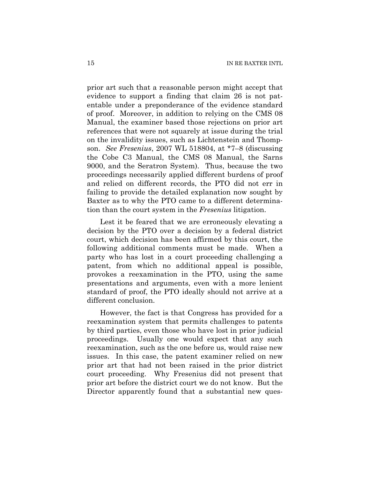prior art such that a reasonable person might accept that evidence to support a finding that claim 26 is not patentable under a preponderance of the evidence standard of proof. Moreover, in addition to relying on the CMS 08 Manual, the examiner based those rejections on prior art references that were not squarely at issue during the trial on the invalidity issues, such as Lichtenstein and Thompson. *See Fresenius*, 2007 WL 518804, at \*7–8 (discussing the Cobe C3 Manual, the CMS 08 Manual, the Sarns 9000, and the Seratron System). Thus, because the two proceedings necessarily applied different burdens of proof and relied on different records, the PTO did not err in failing to provide the detailed explanation now sought by Baxter as to why the PTO came to a different determination than the court system in the *Fresenius* litigation.

Lest it be feared that we are erroneously elevating a decision by the PTO over a decision by a federal district court, which decision has been affirmed by this court, the following additional comments must be made. When a party who has lost in a court proceeding challenging a patent, from which no additional appeal is possible, provokes a reexamination in the PTO, using the same presentations and arguments, even with a more lenient standard of proof, the PTO ideally should not arrive at a different conclusion.

However, the fact is that Congress has provided for a reexamination system that permits challenges to patents by third parties, even those who have lost in prior judicial proceedings. Usually one would expect that any such reexamination, such as the one before us, would raise new issues. In this case, the patent examiner relied on new prior art that had not been raised in the prior district court proceeding. Why Fresenius did not present that prior art before the district court we do not know. But the Director apparently found that a substantial new ques-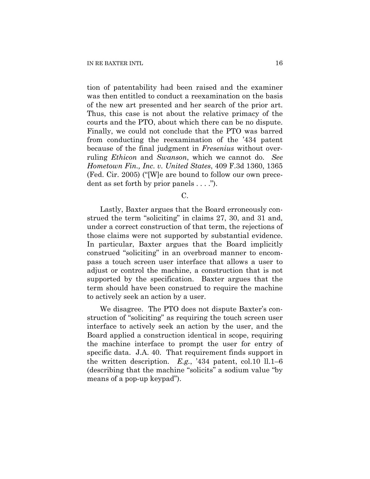tion of patentability had been raised and the examiner was then entitled to conduct a reexamination on the basis of the new art presented and her search of the prior art. Thus, this case is not about the relative primacy of the courts and the PTO, about which there can be no dispute. Finally, we could not conclude that the PTO was barred from conducting the reexamination of the '434 patent because of the final judgment in *Fresenius* without overruling *Ethicon* and *Swanson*, which we cannot do. *See Hometown Fin., Inc. v. United States*, 409 F.3d 1360, 1365 (Fed. Cir. 2005) ("[W]e are bound to follow our own precedent as set forth by prior panels . . . .").

C.

Lastly, Baxter argues that the Board erroneously construed the term "soliciting" in claims 27, 30, and 31 and, under a correct construction of that term, the rejections of those claims were not supported by substantial evidence. In particular, Baxter argues that the Board implicitly construed "soliciting" in an overbroad manner to encompass a touch screen user interface that allows a user to adjust or control the machine, a construction that is not supported by the specification. Baxter argues that the term should have been construed to require the machine to actively seek an action by a user.

We disagree. The PTO does not dispute Baxter's construction of "soliciting" as requiring the touch screen user interface to actively seek an action by the user, and the Board applied a construction identical in scope, requiring the machine interface to prompt the user for entry of specific data. J.A. 40. That requirement finds support in the written description. *E.g.*, '434 patent, col.10 ll.1–6 (describing that the machine "solicits" a sodium value "by means of a pop-up keypad").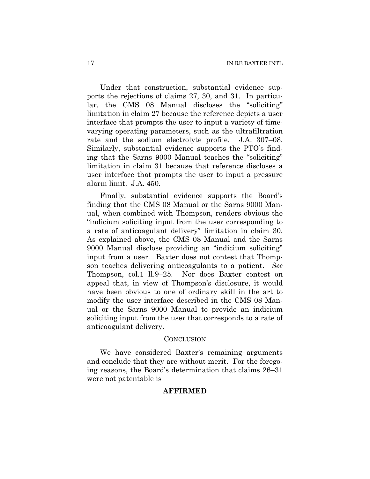Under that construction, substantial evidence supports the rejections of claims 27, 30, and 31. In particular, the CMS 08 Manual discloses the "soliciting" limitation in claim 27 because the reference depicts a user interface that prompts the user to input a variety of timevarying operating parameters, such as the ultrafiltration rate and the sodium electrolyte profile. J.A. 307–08. Similarly, substantial evidence supports the PTO's finding that the Sarns 9000 Manual teaches the "soliciting" limitation in claim 31 because that reference discloses a user interface that prompts the user to input a pressure alarm limit. J.A. 450.

Finally, substantial evidence supports the Board's finding that the CMS 08 Manual or the Sarns 9000 Manual, when combined with Thompson, renders obvious the "indicium soliciting input from the user corresponding to a rate of anticoagulant delivery" limitation in claim 30. As explained above, the CMS 08 Manual and the Sarns 9000 Manual disclose providing an "indicium soliciting" input from a user. Baxter does not contest that Thompson teaches delivering anticoagulants to a patient. *See* Thompson, col.1 ll.9–25. Nor does Baxter contest on appeal that, in view of Thompson's disclosure, it would have been obvious to one of ordinary skill in the art to modify the user interface described in the CMS 08 Manual or the Sarns 9000 Manual to provide an indicium soliciting input from the user that corresponds to a rate of anticoagulant delivery.

#### **CONCLUSION**

We have considered Baxter's remaining arguments and conclude that they are without merit. For the foregoing reasons, the Board's determination that claims 26–31 were not patentable is

#### **AFFIRMED**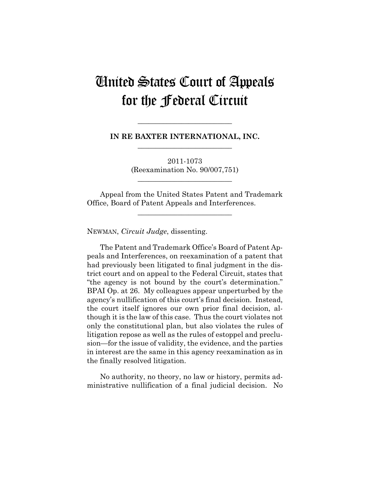# United States Court of Appeals for the Federal Circuit

**IN RE BAXTER INTERNATIONAL, INC. \_\_\_\_\_\_\_\_\_\_\_\_\_\_\_\_\_\_\_\_\_\_\_\_\_\_** 

**\_\_\_\_\_\_\_\_\_\_\_\_\_\_\_\_\_\_\_\_\_\_\_\_\_\_** 

2011-1073 (Reexamination No. 90/007,751)

**\_\_\_\_\_\_\_\_\_\_\_\_\_\_\_\_\_\_\_\_\_\_\_\_\_\_** 

Appeal from the United States Patent and Trademark Office, Board of Patent Appeals and Interferences.

**\_\_\_\_\_\_\_\_\_\_\_\_\_\_\_\_\_\_\_\_\_\_\_\_\_\_** 

NEWMAN, *Circuit Judge*, dissenting.

The Patent and Trademark Office's Board of Patent Appeals and Interferences, on reexamination of a patent that had previously been litigated to final judgment in the district court and on appeal to the Federal Circuit, states that "the agency is not bound by the court's determination." BPAI Op. at 26. My colleagues appear unperturbed by the agency's nullification of this court's final decision. Instead, the court itself ignores our own prior final decision, although it is the law of this case. Thus the court violates not only the constitutional plan, but also violates the rules of litigation repose as well as the rules of estoppel and preclusion—for the issue of validity, the evidence, and the parties in interest are the same in this agency reexamination as in the finally resolved litigation.

No authority, no theory, no law or history, permits administrative nullification of a final judicial decision. No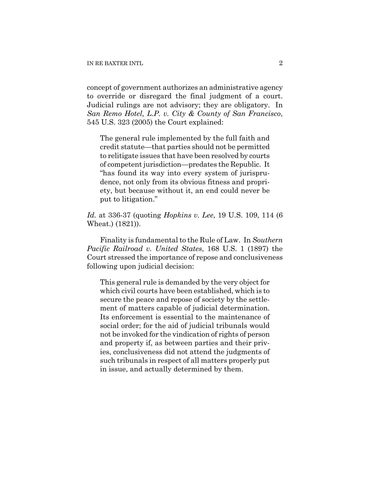concept of government authorizes an administrative agency to override or disregard the final judgment of a court. Judicial rulings are not advisory; they are obligatory. In *San Remo Hotel, L.P. v. City & County of San Francisco*, 545 U.S. 323 (2005) the Court explained:

The general rule implemented by the full faith and credit statute—that parties should not be permitted to relitigate issues that have been resolved by courts of competent jurisdiction—predates the Republic. It "has found its way into every system of jurisprudence, not only from its obvious fitness and propriety, but because without it, an end could never be put to litigation."

*Id.* at 336-37 (quoting *Hopkins v. Lee*, 19 U.S. 109, 114 (6 Wheat.) (1821)).

Finality is fundamental to the Rule of Law. In *Southern Pacific Railroad v. United States*, 168 U.S. 1 (1897) the Court stressed the importance of repose and conclusiveness following upon judicial decision:

This general rule is demanded by the very object for which civil courts have been established, which is to secure the peace and repose of society by the settlement of matters capable of judicial determination. Its enforcement is essential to the maintenance of social order; for the aid of judicial tribunals would not be invoked for the vindication of rights of person and property if, as between parties and their privies, conclusiveness did not attend the judgments of such tribunals in respect of all matters properly put in issue, and actually determined by them.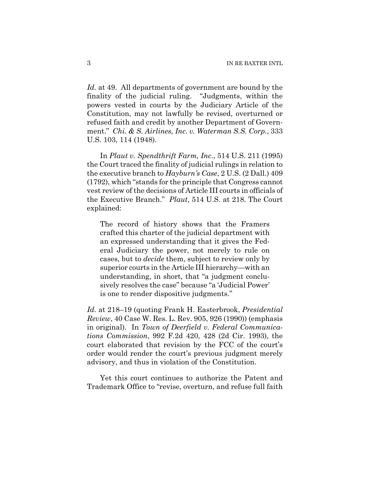*Id.* at 49. All departments of government are bound by the finality of the judicial ruling. "Judgments, within the powers vested in courts by the Judiciary Article of the Constitution, may not lawfully be revised, overturned or refused faith and credit by another Department of Government." *Chi. & S. Airlines, Inc. v. Waterman S.S. Corp.*, 333 U.S. 103, 114 (1948).

In *Plaut v. Spendthrift Farm, Inc*., 514 U.S. 211 (1995) the Court traced the finality of judicial rulings in relation to the executive branch to *Hayburn's Case*, 2 U.S. (2 Dall.) 409 (1792), which "stands for the principle that Congress cannot vest review of the decisions of [Article III](http://web2.westlaw.com/find/default.wl?tc=-1&docname=USCOARTIIIS1&rp=%2ffind%2fdefault.wl&sv=Split&rs=WLW11.07&db=1000546&tf=-1&findtype=L&fn=_top&vr=2.0&pbc=DA83E03E&ordoc=1995090394) courts in officials of the Executive Branch." *Plaut*, 514 U.S. at 218. The Court explained:

The record of history shows that the Framers crafted this charter of the judicial department with an expressed understanding that it gives the Federal Judiciary the power, not merely to rule on cases, but to *decide* them, subject to review only by superior courts in the Article III hierarchy—with an understanding, in short, that "a judgment conclusively resolves the case" because "a 'Judicial Power' is one to render dispositive judgments."

*Id.* at 218–19 (quoting Frank H. Easterbrook, *Presidential Review*, 40 Case W. Res. L. Rev. 905, 926 (1990)) (emphasis in original). In *Town of Deerfield v. Federal Communications Commission*, 992 F.2d 420, 428 (2d Cir. 1993), the court elaborated that revision by the FCC of the court's order would render the court's previous judgment merely advisory, and thus in violation of the Constitution.

Yet this court continues to authorize the Patent and Trademark Office to "revise, overturn, and refuse full faith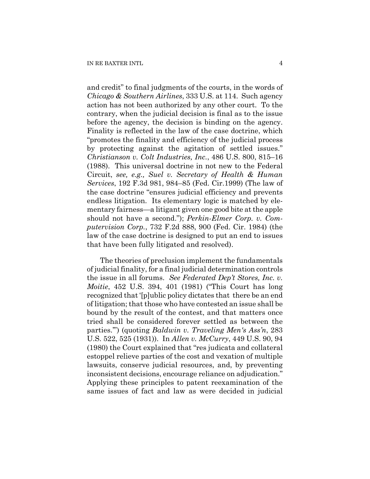and credit" to final judgments of the courts, in the words of *Chicago & Southern Airlines*, 333 U.S. at 114. Such agency action has not been authorized by any other court. To the contrary, when the judicial decision is final as to the issue before the agency, the decision is binding on the agency. Finality is reflected in the law of the case doctrine, which "promotes the finality and efficiency of the judicial process by protecting against the agitation of settled issues." *Christianson v. Colt Industries, Inc.*, 486 U.S. 800, 815–16 (1988). This universal doctrine in not new to the Federal Circuit, *see, e.g., Suel v. Secretary of Health & Human Services*, 192 F.3d 981, 984–85 (Fed. Cir.1999) (The law of the case doctrine "ensures judicial efficiency and prevents endless litigation. Its elementary logic is matched by elementary fairness—a litigant given one good bite at the apple should not have a second."); *Perkin-Elmer Corp. v. Computervision Corp.*, 732 F.2d 888, 900 (Fed. Cir. 1984) (the law of the case doctrine is designed to put an end to issues that have been fully litigated and resolved).

The theories of preclusion implement the fundamentals of judicial finality, for a final judicial determination controls the issue in all forums. *See Federated Dep't Stores, Inc. v. Moitie*, 452 U.S. 394, 401 (1981) ("This Court has long recognized that '[p]ublic policy dictates that there be an end of litigation; that those who have contested an issue shall be bound by the result of the contest, and that matters once tried shall be considered forever settled as between the parties.'") (quoting *Baldwin v. Traveling Men's Ass'n*, 283 U.S. 522, 525 (1931)). In *Allen v. McCurry*, 449 U.S. 90, 94 (1980) the Court explained that "res judicata and collateral estoppel relieve parties of the cost and vexation of multiple lawsuits, conserve judicial resources, and, by preventing inconsistent decisions, encourage reliance on adjudication." Applying these principles to patent reexamination of the same issues of fact and law as were decided in judicial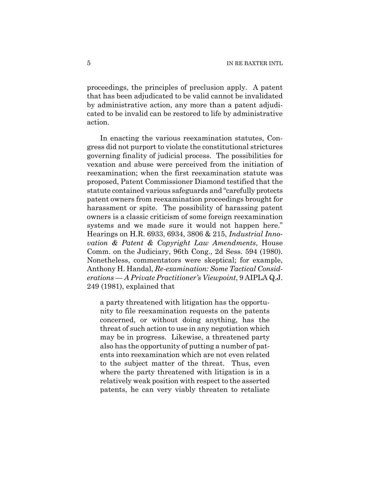proceedings, the principles of preclusion apply. A patent that has been adjudicated to be valid cannot be invalidated by administrative action, any more than a patent adjudicated to be invalid can be restored to life by administrative action.

In enacting the various reexamination statutes, Congress did not purport to violate the constitutional strictures governing finality of judicial process. The possibilities for vexation and abuse were perceived from the initiation of reexamination; when the first reexamination statute was proposed, Patent Commissioner Diamond testified that the statute contained various safeguards and "carefully protects patent owners from reexamination proceedings brought for harassment or spite. The possibility of harassing patent owners is a classic criticism of some foreign reexamination systems and we made sure it would not happen here." Hearings on H.R. 6933, 6934, 3806 & 215, *Industrial Innovation & Patent & Copyright Law Amendments*, House Comm. on the Judiciary, 96th Cong., 2d Sess. 594 (1980). Nonetheless, commentators were skeptical; for example, Anthony H. Handal, *Re-examination: Some Tactical Considerations — A Private Practitioner's Viewpoint*, 9 AIPLA Q.J. 249 (1981), explained that

a party threatened with litigation has the opportunity to file reexamination requests on the patents concerned, or without doing anything, has the threat of such action to use in any negotiation which may be in progress. Likewise, a threatened party also has the opportunity of putting a number of patents into reexamination which are not even related to the subject matter of the threat. Thus, even where the party threatened with litigation is in a relatively weak position with respect to the asserted patents, he can very viably threaten to retaliate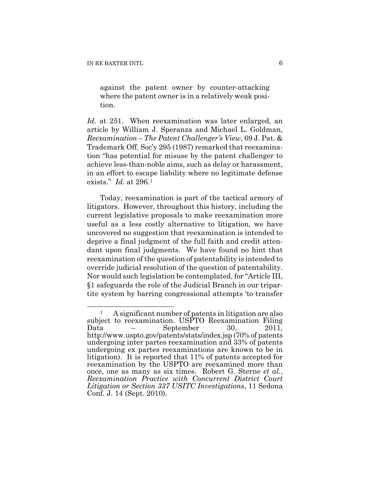against the patent owner by counter-attacking where the patent owner is in a relatively weak position.

*Id.* at 251. When reexamination was later enlarged, an article by William J. Speranza and Michael L. Goldman, *Reexamination – The Patent Challenger's View*, 69 J. Pat. & Trademark Off. Soc'y 295 (1987) remarked that reexamination "has potential for misuse by the patent challenger to achieve less-than-noble aims, such as delay or harassment, in an effort to escape liability where no legitimate defense exists." *Id.* at 296.[1](#page-22-0)

Today, reexamination is part of the tactical armory of litigators. However, throughout this history, including the current legislative proposals to make reexamination more useful as a less costly alternative to litigation, we have uncovered no suggestion that reexamination is intended to deprive a final judgment of the full faith and credit attendant upon final judgments. We have found no hint that reexamination of the question of patentability is intended to override judicial resolution of the question of patentability. Nor would such legislation be contemplated, for "Article III, §1 safeguards the role of the Judicial Branch in our tripartite system by barring congressional attempts 'to transfer

<span id="page-22-0"></span> $\overline{a}$ 1 A significant number of patents in litigation are also subject to reexamination. USPTO Reexamination Filing Data  $-$  September 30, 2011, http://www.uspto.gov/patents/stats/index.jsp (70% of patents undergoing inter partes reexamination and 33% of patents undergoing ex partes reexaminations are known to be in litigation). It is reported that 11% of patents accepted for reexamination by the USPTO are reexamined more than once, one as many as six times. Robert G. Sterne *et al.*, *Reexamination Practice with Concurrent District Court Litigation or Section 337 USITC Investigations*, 11 Sedona Conf. J. 14 (Sept. 2010).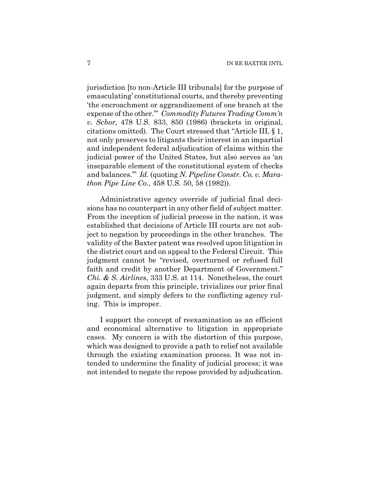jurisdiction [to non-Article III tribunals] for the purpose of emasculating' constitutional courts, and thereby preventing 'the encroachment or aggrandizement of one branch at the expense of the other.'" *Commodity Futures Trading Comm'n v. Schor,* 478 U.S. 833, 850 (1986) (brackets in original, citations omitted). The Court stressed that "Article III, § 1, not only preserves to litigants their interest in an impartial and independent federal adjudication of claims within the judicial power of the United States, but also serves as 'an inseparable element of the constitutional system of checks and balances.'" *Id.* (quoting *N. Pipeline Constr. Co. v. Marathon Pipe Line Co.*, 458 U.S. 50, 58 (1982)).

Administrative agency override of judicial final decisions has no counterpart in any other field of subject matter. From the inception of judicial process in the nation, it was established that decisions of Article III courts are not subject to negation by proceedings in the other branches. The validity of the Baxter patent was resolved upon litigation in the district court and on appeal to the Federal Circuit. This judgment cannot be "revised, overturned or refused full faith and credit by another Department of Government." *Chi. & S. Airlines*, 333 U.S. at 114. Nonetheless, the court again departs from this principle, trivializes our prior final judgment, and simply defers to the conflicting agency ruling. This is improper.

I support the concept of reexamination as an efficient and economical alternative to litigation in appropriate cases. My concern is with the distortion of this purpose, which was designed to provide a path to relief not available through the existing examination process. It was not intended to undermine the finality of judicial process; it was not intended to negate the repose provided by adjudication.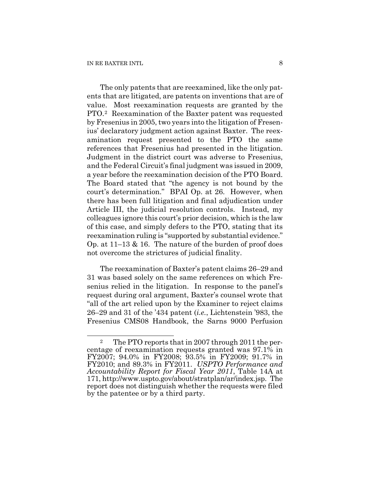The only patents that are reexamined, like the only patents that are litigated, are patents on inventions that are of value. Most reexamination requests are granted by the PTO.[2](#page-24-0) Reexamination of the Baxter patent was requested by Fresenius in 2005, two years into the litigation of Fresenius' declaratory judgment action against Baxter. The reexamination request presented to the PTO the same references that Fresenius had presented in the litigation. Judgment in the district court was adverse to Fresenius, and the Federal Circuit's final judgment was issued in 2009, a year before the reexamination decision of the PTO Board. The Board stated that "the agency is not bound by the court's determination." BPAI Op. at 26. However, when there has been full litigation and final adjudication under Article III, the judicial resolution controls. Instead, my colleagues ignore this court's prior decision, which is the law of this case, and simply defers to the PTO, stating that its reexamination ruling is "supported by substantial evidence." Op. at 11–13 & 16. The nature of the burden of proof does not overcome the strictures of judicial finality.

The reexamination of Baxter's patent claims 26–29 and 31 was based solely on the same references on which Fresenius relied in the litigation. In response to the panel's request during oral argument, Baxter's counsel wrote that "all of the art relied upon by the Examiner to reject claims 26–29 and 31 of the '434 patent (*i.e.*, Lichtenstein '983, the Fresenius CMS08 Handbook, the Sarns 9000 Perfusion

<span id="page-24-0"></span> $\overline{a}$ 2 The PTO reports that in 2007 through 2011 the percentage of reexamination requests granted was 97.1% in FY2007; 94.0% in FY2008; 93.5% in FY2009; 91.7% in FY2010; and 89.3% in FY2011. *USPTO Performance and Accountability Report for Fiscal Year 2011*, Table 14A at 171, http://www.uspto.gov/about/stratplan/ar/index.jsp. The report does not distinguish whether the requests were filed by the patentee or by a third party.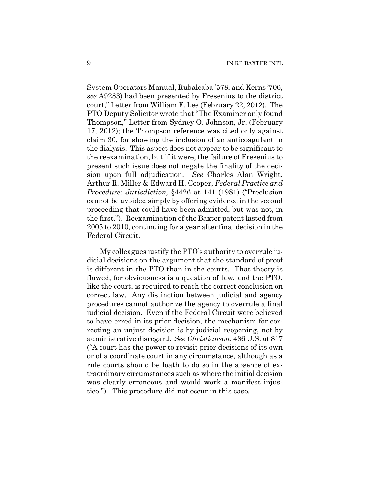System Operators Manual, Rubalcaba '578, and Kerns '706, *see* A9283) had been presented by Fresenius to the district court," Letter from William F. Lee (February 22, 2012). The PTO Deputy Solicitor wrote that "The Examiner only found Thompson," Letter from Sydney O. Johnson, Jr. (February 17, 2012); the Thompson reference was cited only against claim 30, for showing the inclusion of an anticoagulant in the dialysis. This aspect does not appear to be significant to the reexamination, but if it were, the failure of Fresenius to present such issue does not negate the finality of the decision upon full adjudication. *See* Charles Alan Wright, Arthur R. Miller & Edward H. Cooper, *Federal Practice and Procedure: Jurisdiction*, §4426 at 141 (1981) ("Preclusion cannot be avoided simply by offering evidence in the second proceeding that could have been admitted, but was not, in the first."). Reexamination of the Baxter patent lasted from 2005 to 2010, continuing for a year after final decision in the Federal Circuit.

My colleagues justify the PTO's authority to overrule judicial decisions on the argument that the standard of proof is different in the PTO than in the courts. That theory is flawed, for obviousness is a question of law, and the PTO, like the court, is required to reach the correct conclusion on correct law. Any distinction between judicial and agency procedures cannot authorize the agency to overrule a final judicial decision. Even if the Federal Circuit were believed to have erred in its prior decision, the mechanism for correcting an unjust decision is by judicial reopening, not by administrative disregard. *See Christianson*, 486 U.S. at 817 ("A court has the power to revisit prior decisions of its own or of a coordinate court in any circumstance, although as a rule courts should be loath to do so in the absence of extraordinary circumstances such as where the initial decision was clearly erroneous and would work a manifest injustice."). This procedure did not occur in this case.